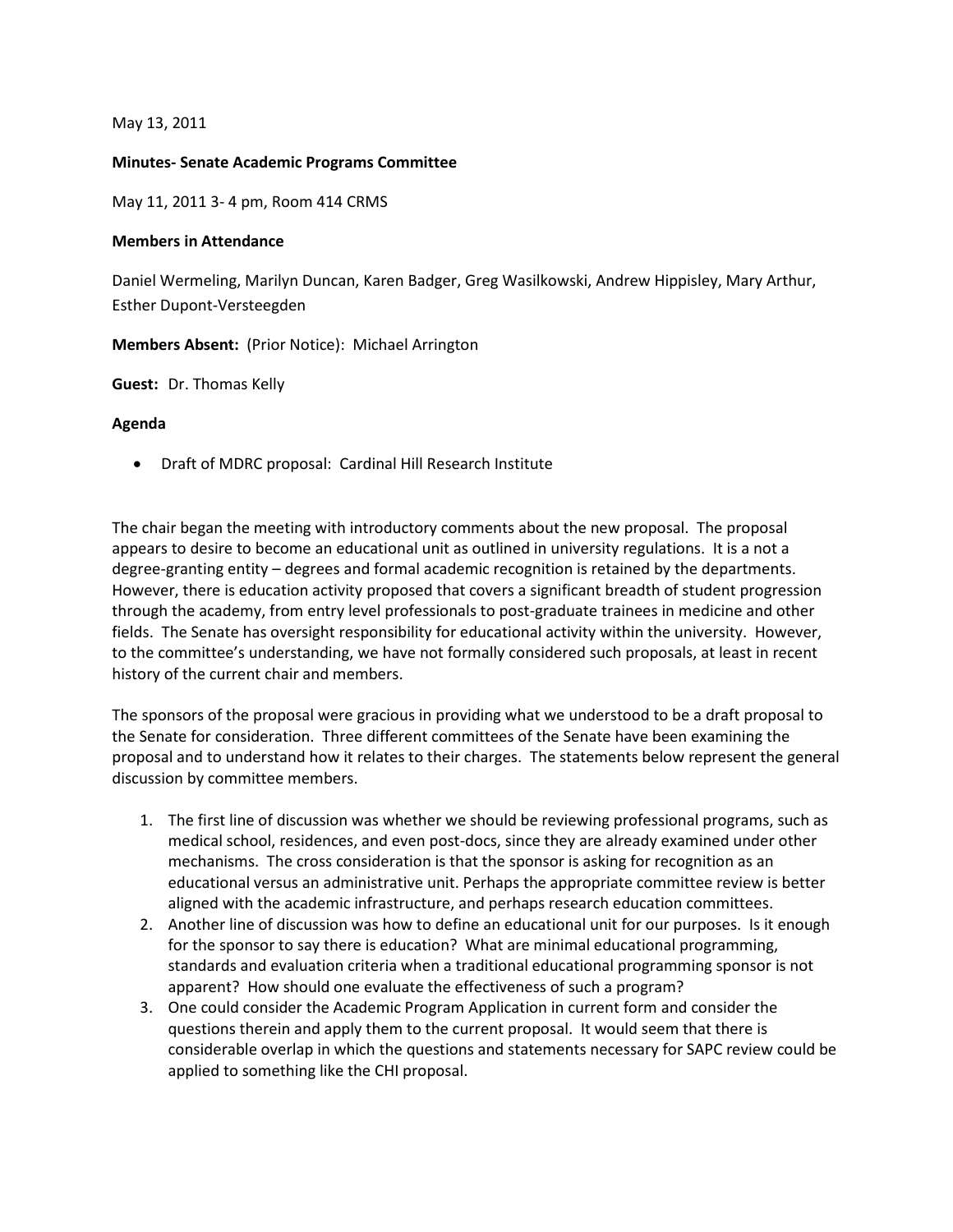May 13, 2011

## **Minutes- Senate Academic Programs Committee**

May 11, 2011 3- 4 pm, Room 414 CRMS

## **Members in Attendance**

Daniel Wermeling, Marilyn Duncan, Karen Badger, Greg Wasilkowski, Andrew Hippisley, Mary Arthur, Esther Dupont-Versteegden

**Members Absent:** (Prior Notice): Michael Arrington

**Guest:** Dr. Thomas Kelly

## **Agenda**

• Draft of MDRC proposal: Cardinal Hill Research Institute

The chair began the meeting with introductory comments about the new proposal. The proposal appears to desire to become an educational unit as outlined in university regulations. It is a not a degree-granting entity – degrees and formal academic recognition is retained by the departments. However, there is education activity proposed that covers a significant breadth of student progression through the academy, from entry level professionals to post-graduate trainees in medicine and other fields. The Senate has oversight responsibility for educational activity within the university. However, to the committee's understanding, we have not formally considered such proposals, at least in recent history of the current chair and members.

The sponsors of the proposal were gracious in providing what we understood to be a draft proposal to the Senate for consideration. Three different committees of the Senate have been examining the proposal and to understand how it relates to their charges. The statements below represent the general discussion by committee members.

- 1. The first line of discussion was whether we should be reviewing professional programs, such as medical school, residences, and even post-docs, since they are already examined under other mechanisms. The cross consideration is that the sponsor is asking for recognition as an educational versus an administrative unit. Perhaps the appropriate committee review is better aligned with the academic infrastructure, and perhaps research education committees.
- 2. Another line of discussion was how to define an educational unit for our purposes. Is it enough for the sponsor to say there is education? What are minimal educational programming, standards and evaluation criteria when a traditional educational programming sponsor is not apparent? How should one evaluate the effectiveness of such a program?
- 3. One could consider the Academic Program Application in current form and consider the questions therein and apply them to the current proposal. It would seem that there is considerable overlap in which the questions and statements necessary for SAPC review could be applied to something like the CHI proposal.